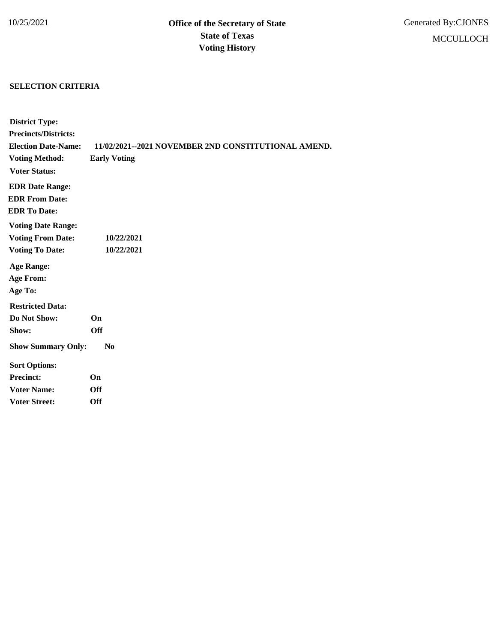## **SELECTION CRITERIA**

| <b>District Type:</b>       |                                                     |
|-----------------------------|-----------------------------------------------------|
| <b>Precincts/Districts:</b> |                                                     |
| <b>Election Date-Name:</b>  | 11/02/2021--2021 NOVEMBER 2ND CONSTITUTIONAL AMEND. |
| <b>Voting Method:</b>       | <b>Early Voting</b>                                 |
| <b>Voter Status:</b>        |                                                     |
| <b>EDR Date Range:</b>      |                                                     |
| <b>EDR From Date:</b>       |                                                     |
| <b>EDR To Date:</b>         |                                                     |
| <b>Voting Date Range:</b>   |                                                     |
| <b>Voting From Date:</b>    | 10/22/2021                                          |
| <b>Voting To Date:</b>      | 10/22/2021                                          |
| <b>Age Range:</b>           |                                                     |
| <b>Age From:</b>            |                                                     |
| Age To:                     |                                                     |
| <b>Restricted Data:</b>     |                                                     |
| Do Not Show:                | <b>On</b>                                           |
| Show:                       | <b>Off</b>                                          |
| <b>Show Summary Only:</b>   | $\bf No$                                            |
| <b>Sort Options:</b>        |                                                     |
| <b>Precinct:</b>            | On                                                  |
| <b>Voter Name:</b>          | <b>Off</b>                                          |
| <b>Voter Street:</b>        | Off                                                 |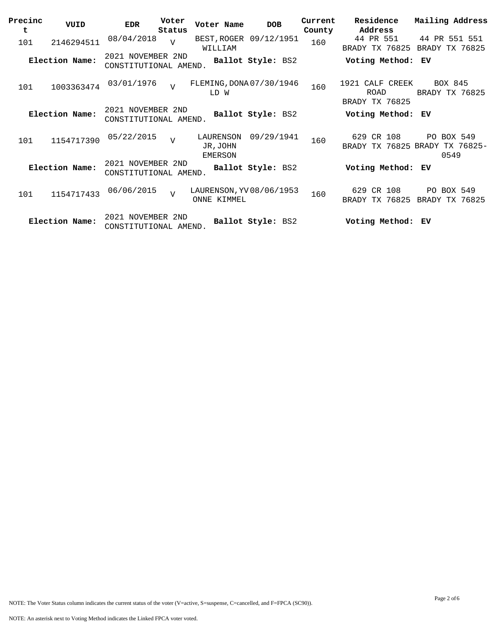| Precinc<br>t | VUID           | <b>EDR</b>                                 | Voter<br>Status | Voter Name                              | <b>DOB</b>             | Current<br>County | Residence<br>Address                      | Mailing Address                                      |
|--------------|----------------|--------------------------------------------|-----------------|-----------------------------------------|------------------------|-------------------|-------------------------------------------|------------------------------------------------------|
| 101          | 2146294511     | 08/04/2018                                 | $\overline{z}$  | WILLIAM                                 | BEST, ROGER 09/12/1951 | 160               | 44 PR 551<br>BRADY TX 76825               | 44 PR 551 551<br>BRADY TX 76825                      |
|              | Election Name: | 2021 NOVEMBER 2ND<br>CONSTITUTIONAL AMEND. |                 |                                         | Ballot Style: BS2      |                   | Voting Method:                            | ЕV                                                   |
| 101          | 1003363474     | 03/01/1976                                 | $\overline{U}$  | FLEMING, DONA 07/30/1946<br>LD W        |                        | 160               | 1921 CALF CREEK<br>ROAD<br>BRADY TX 76825 | BOX 845<br>BRADY TX 76825                            |
|              | Election Name: | 2021 NOVEMBER 2ND<br>CONSTITUTIONAL AMEND. |                 |                                         | Ballot Style: BS2      |                   | Voting Method:                            | ЕV                                                   |
| 101          | 1154717390     | 05/22/2015                                 | T               | LAURENSON<br>JR, JOHN<br>EMERSON        | 09/29/1941             | 160               | 629 CR 108                                | PO BOX 549<br>BRADY TX 76825 BRADY TX 76825-<br>0549 |
|              | Election Name: | 2021 NOVEMBER 2ND<br>CONSTITUTIONAL AMEND. |                 |                                         | Ballot Style: BS2      |                   | Voting Method:                            | ЕV                                                   |
| 101          | 1154717433     | 06/06/2015                                 | $\overline{U}$  | LAURENSON, YV 08/06/1953<br>ONNE KIMMEL |                        | 160               | 629 CR 108<br>BRADY TX 76825              | PO BOX 549<br>BRADY TX 76825                         |
|              | Election Name: | 2021 NOVEMBER 2ND<br>CONSTITUTIONAL AMEND. |                 |                                         | Ballot Style: BS2      |                   | Voting Method:                            | ЕV                                                   |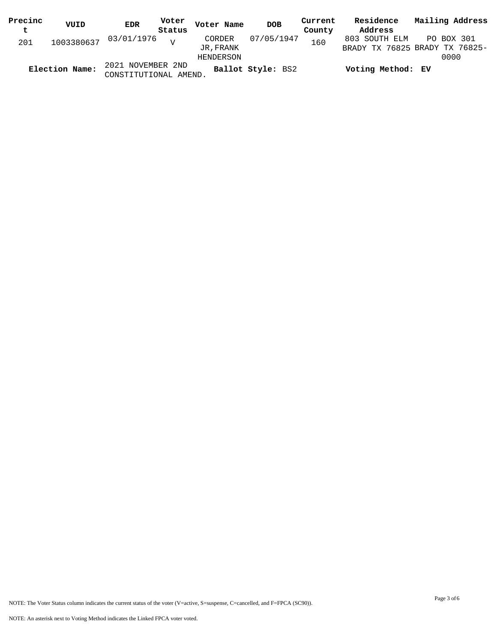| Precinc        | VUID | <b>EDR</b>            | Voter          | Voter Name | <b>DOB</b>        | Current | Residence         | Mailing Address                |
|----------------|------|-----------------------|----------------|------------|-------------------|---------|-------------------|--------------------------------|
| $\mathbf t$    |      |                       | Status         |            |                   | County  | Address           |                                |
| 201            |      | 1003380637 03/01/1976 | $\overline{z}$ | CORDER     | 07/05/1947        | 160     | 803 SOUTH ELM     | PO BOX 301                     |
|                |      |                       |                | JR, FRANK  |                   |         |                   | BRADY TX 76825 BRADY TX 76825- |
|                |      |                       |                | HENDERSON  |                   |         |                   | 0000                           |
|                |      | 2021 NOVEMBER 2ND     |                |            | Ballot Style: BS2 |         | Voting Method: EV |                                |
| Election Name: |      | CONSTITUTIONAL AMEND. |                |            |                   |         |                   |                                |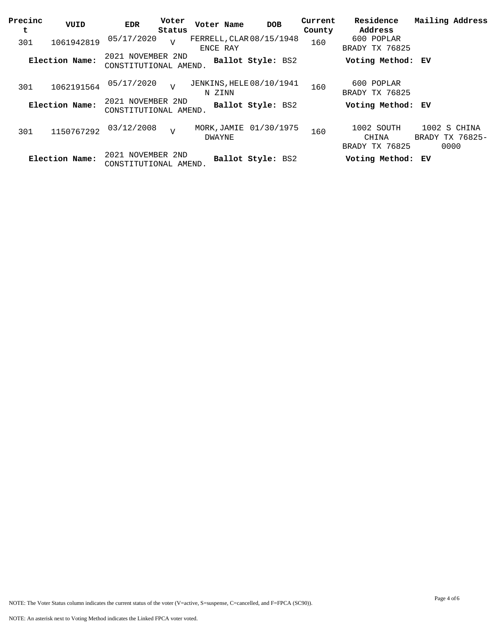| Precinc<br>t | VUID           | <b>EDR</b>                                 | Voter<br>Status | Voter Name                                | <b>DOB</b>             | Current<br>County | Residence<br>Address                  | Mailing Address                         |
|--------------|----------------|--------------------------------------------|-----------------|-------------------------------------------|------------------------|-------------------|---------------------------------------|-----------------------------------------|
| 301          | 1061942819     | 05/17/2020                                 | $\overline{v}$  | FERRELL, CLAR 08/15/1948<br>ENCE RAY      |                        | 160               | 600 POPLAR<br>BRADY TX 76825          |                                         |
|              | Election Name: | 2021 NOVEMBER 2ND<br>CONSTITUTIONAL AMEND. |                 |                                           | Ballot Style: BS2      |                   | Voting Method: EV                     |                                         |
| 301          | 1062191564     | 05/17/2020                                 | $\overline{17}$ | <b>JENKINS, HELE 08/10/1941</b><br>N ZINN |                        | 160               | 600 POPLAR<br>BRADY TX 76825          |                                         |
|              | Election Name: | 2021 NOVEMBER 2ND<br>CONSTITUTIONAL AMEND. |                 |                                           | Ballot Style: BS2      |                   | Voting Method: EV                     |                                         |
| 301          | 1150767292     | 03/12/2008                                 | $\overline{z}$  | DWAYNE                                    | MORK, JAMIE 01/30/1975 | 160               | 1002 SOUTH<br>CHINA<br>BRADY TX 76825 | 1002 S CHINA<br>BRADY TX 76825-<br>0000 |
|              | Election Name: | 2021 NOVEMBER 2ND<br>CONSTITUTIONAL AMEND. |                 |                                           | Ballot Style: BS2      |                   | Voting Method: EV                     |                                         |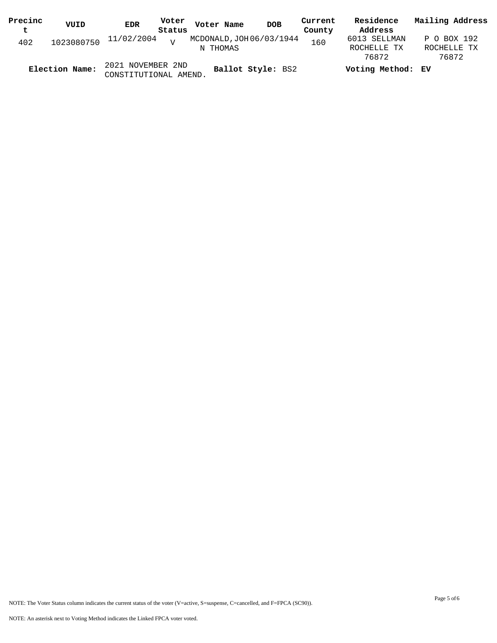| Precinc | VUID           | <b>EDR</b>                                 | Voter  | Voter Name                           | <b>DOB</b> | Current | Residence                   | Mailing Address            |
|---------|----------------|--------------------------------------------|--------|--------------------------------------|------------|---------|-----------------------------|----------------------------|
| t       |                |                                            | Status |                                      |            | County  | Address                     |                            |
| 402     | 1023080750     | 11/02/2004                                 | $\tau$ | MCDONALD, JOH 06/03/1944<br>N THOMAS |            | 160     | 6013 SELLMAN<br>ROCHELLE TX | P O BOX 192<br>ROCHELLE TX |
|         |                |                                            |        |                                      |            |         | 76872                       | 76872                      |
|         | Election Name: | 2021 NOVEMBER 2ND<br>CONSTITUTIONAL AMEND. |        | Ballot Style: BS2                    |            |         | Voting Method: EV           |                            |